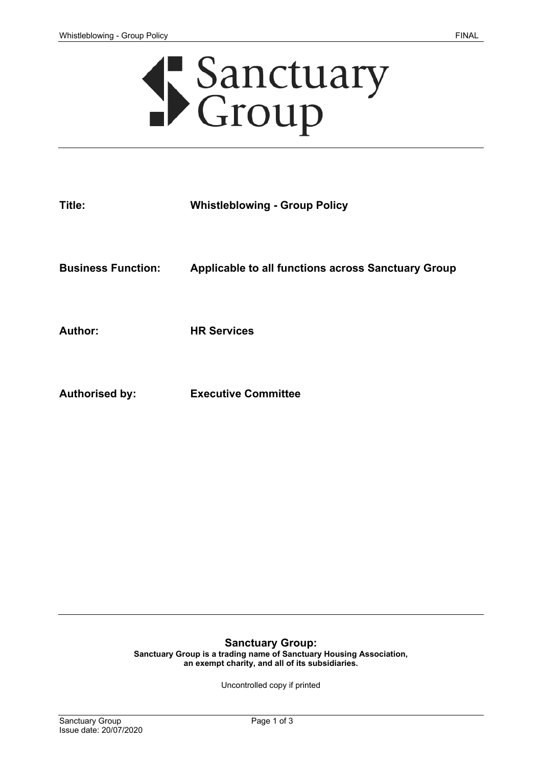# Sanctuary<br>Croup

| <b>Applicable to all functions across Sanctuary Group</b> |
|-----------------------------------------------------------|
|                                                           |
|                                                           |

**Authorised by: Executive Committee**

## **Sanctuary Group:**

**Sanctuary Group is a trading name of Sanctuary Housing Association, an exempt charity, and all of its subsidiaries.** 

Uncontrolled copy if printed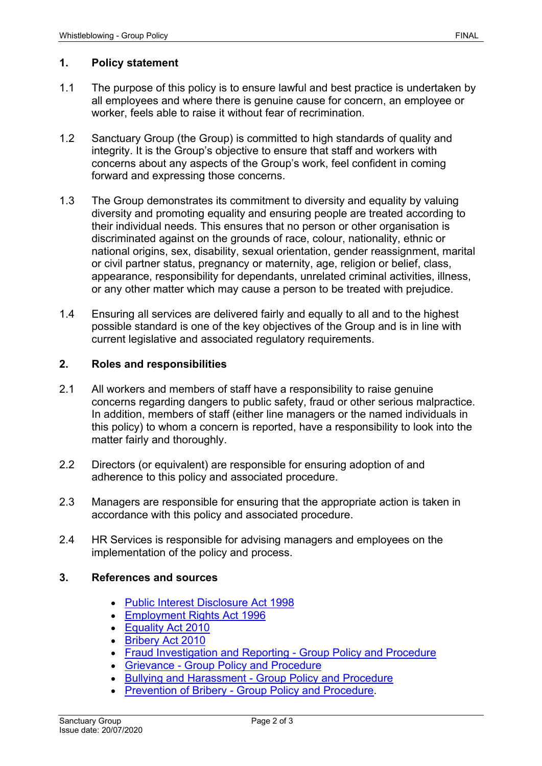# **1. Policy statement**

- 1.1 The purpose of this policy is to ensure lawful and best practice is undertaken by all employees and where there is genuine cause for concern, an employee or worker, feels able to raise it without fear of recrimination.
- 1.2 Sanctuary Group (the Group) is committed to high standards of quality and integrity. It is the Group's objective to ensure that staff and workers with concerns about any aspects of the Group's work, feel confident in coming forward and expressing those concerns.
- 1.3 The Group demonstrates its commitment to diversity and equality by valuing diversity and promoting equality and ensuring people are treated according to their individual needs. This ensures that no person or other organisation is discriminated against on the grounds of race, colour, nationality, ethnic or national origins, sex, disability, sexual orientation, gender reassignment, marital or civil partner status, pregnancy or maternity, age, religion or belief, class, appearance, responsibility for dependants, unrelated criminal activities, illness, or any other matter which may cause a person to be treated with prejudice.
- 1.4 Ensuring all services are delivered fairly and equally to all and to the highest possible standard is one of the key objectives of the Group and is in line with current legislative and associated regulatory requirements.

# **2. Roles and responsibilities**

- 2.1 All workers and members of staff have a responsibility to raise genuine concerns regarding dangers to public safety, fraud or other serious malpractice. In addition, members of staff (either line managers or the named individuals in this policy) to whom a concern is reported, have a responsibility to look into the matter fairly and thoroughly.
- 2.2 Directors (or equivalent) are responsible for ensuring adoption of and adherence to this policy and associated procedure.
- 2.3 Managers are responsible for ensuring that the appropriate action is taken in accordance with this policy and associated procedure.
- 2.4 HR Services is responsible for advising managers and employees on the implementation of the policy and process.

## **3. References and sources**

- [Public Interest Disclosure Act 1998](http://wbhelpline.org.uk/resources/public-interest-disclosure-act/)
- [Employment Rights Act 1996](http://www.acas.org.uk/index.aspx?articleid=1461)
- [Equality Act 2010](http://www.adviceguide.org.uk/england/discrimination_e/discrimination_about_discrimination_e/equality_act_2010_discrimination_and_your_rights.htm)
- [Bribery Act 2010](https://www.justice.gov.uk/legislation/bribery)
- [Fraud Investigation and Reporting -](http://solis/PolicyManagement/policy/Policies/Forms/Policy%20Document%20Set/docsethomepage.aspx?ID=4130&FolderCTID=0x0120D52000DE99EA054D4DF944BE591D81E49729D0008C670BDB86BED740B0B89E295CD8357C&List=a03723e1-d48b-4958-9669-9b86a90ef8b0&RootFolder=%2FPolicyManagement%2Fpolicy%2FPolicies%2FFraud%20Investigating%20and%20Reporting%20%2D%20Group) Group Policy and Procedure
- Grievance [Group Policy and Procedure](http://solis/PolicyManagement/policy/Policies/Forms/Policy%20Document%20Set/docsethomepage.aspx?ID=5271&FolderCTID=0x0120D52000DE99EA054D4DF944BE591D81E49729D0008C670BDB86BED740B0B89E295CD8357C&List=a03723e1-d48b-4958-9669-9b86a90ef8b0&RootFolder=%2FPolicyManagement%2Fpolicy%2FPolicies%2FGrievance%20%2D%20Group)
- Bullying and Harassment [Group Policy and Procedure](http://solis/PolicyManagement/policy/Policies/Forms/Policy%20Document%20Set/docsethomepage.aspx?ID=4539&FolderCTID=0x0120D52000DE99EA054D4DF944BE591D81E49729D0008C670BDB86BED740B0B89E295CD8357C&List=a03723e1-d48b-4958-9669-9b86a90ef8b0&RootFolder=%2FPolicyManagement%2Fpolicy%2FPolicies%2FBullying%20and%20Harassment%20%2D%20Group)
- [Prevention of Bribery -](http://solis/PolicyManagement/policy/Policies/Forms/Policy%20Document%20Set/docsethomepage.aspx?ID=4043&FolderCTID=0x0120D52000DE99EA054D4DF944BE591D81E49729D0008C670BDB86BED740B0B89E295CD8357C&List=a03723e1-d48b-4958-9669-9b86a90ef8b0&RootFolder=%2FPolicyManagement%2Fpolicy%2FPolicies%2FPrevention%20of%20Bribery%20%2D%20Group) Group Policy and Procedure.